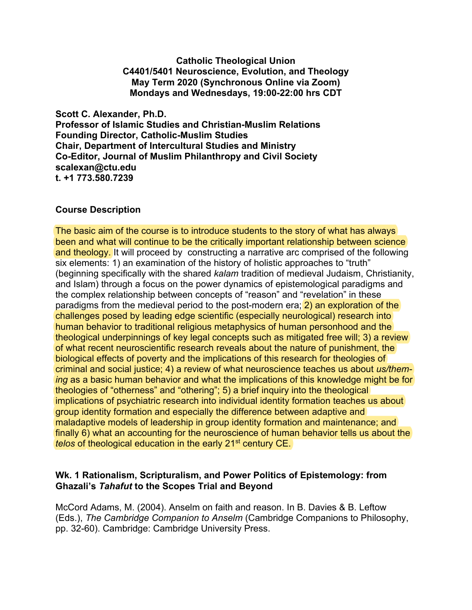**Catholic Theological Union C4401/5401 Neuroscience, Evolution, and Theology May Term 2020 (Synchronous Online via Zoom) Mondays and Wednesdays, 19:00-22:00 hrs CDT**

**Scott C. Alexander, Ph.D. Professor of Islamic Studies and Christian-Muslim Relations Founding Director, Catholic-Muslim Studies Chair, Department of Intercultural Studies and Ministry Co-Editor, Journal of Muslim Philanthropy and Civil Society scalexan@ctu.edu t. +1 773.580.7239**

## **Course Description**

The basic aim of the course is to introduce students to the story of what has always been and what will continue to be the critically important relationship between science and theology. It will proceed by constructing a narrative arc comprised of the following six elements: 1) an examination of the history of holistic approaches to "truth" (beginning specifically with the shared *kalam* tradition of medieval Judaism, Christianity, and Islam) through a focus on the power dynamics of epistemological paradigms and the complex relationship between concepts of "reason" and "revelation" in these paradigms from the medieval period to the post-modern era; 2) an exploration of the challenges posed by leading edge scientific (especially neurological) research into human behavior to traditional religious metaphysics of human personhood and the theological underpinnings of key legal concepts such as mitigated free will; 3) a review of what recent neuroscientific research reveals about the nature of punishment, the biological effects of poverty and the implications of this research for theologies of criminal and social justice; 4) a review of what neuroscience teaches us about *us/theming* as a basic human behavior and what the implications of this knowledge might be for theologies of "otherness" and "othering"; 5) a brief inquiry into the theological implications of psychiatric research into individual identity formation teaches us about group identity formation and especially the difference between adaptive and maladaptive models of leadership in group identity formation and maintenance; and finally 6) what an accounting for the neuroscience of human behavior tells us about the *telos* of theological education in the early 21<sup>st</sup> century CE.

## **Wk. 1 Rationalism, Scripturalism, and Power Politics of Epistemology: from Ghazali's** *Tahafut* **to the Scopes Trial and Beyond**

McCord Adams, M. (2004). Anselm on faith and reason. In B. Davies & B. Leftow (Eds.), *The Cambridge Companion to Anselm* (Cambridge Companions to Philosophy, pp. 32-60). Cambridge: Cambridge University Press.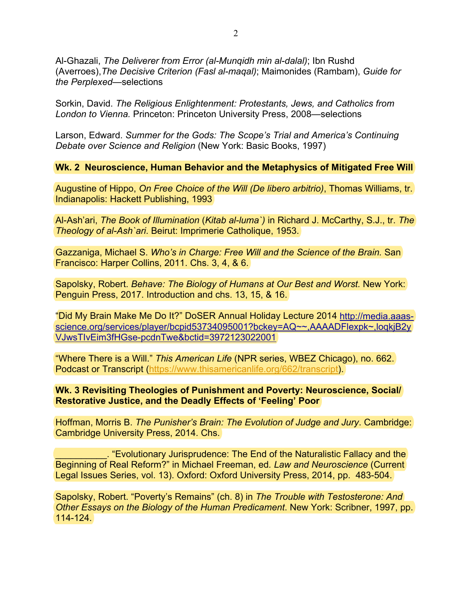Al-Ghazali, *The Deliverer from Error (al-Munqidh min al-dalal)*; Ibn Rushd (Averroes),*The Decisive Criterion (Fasl al-maqal)*; Maimonides (Rambam), *Guide for the Perplexed*—selections

Sorkin, David. *The Religious Enlightenment: Protestants, Jews, and Catholics from London to Vienna.* Princeton: Princeton University Press, 2008—selections

Larson, Edward. *Summer for the Gods: The Scope's Trial and America's Continuing Debate over Science and Religion* (New York: Basic Books, 1997)

**Wk. 2 Neuroscience, Human Behavior and the Metaphysics of Mitigated Free Will**

Augustine of Hippo, *On Free Choice of the Will (De libero arbitrio)*, Thomas Williams, tr. Indianapolis: Hackett Publishing, 1993

Al-Ash'ari, *The Book of Illumination* (*Kitab al-luma`)* in Richard J. McCarthy, S.J., tr. *The Theology of al-Ash`ari*. Beirut: Imprimerie Catholique, 1953.

Gazzaniga, Michael S. *Who's in Charge: Free Will and the Science of the Brain.* San Francisco: Harper Collins, 2011. Chs. 3, 4, & 6.

Sapolsky, Robert. *Behave: The Biology of Humans at Our Best and Worst.* New York: Penguin Press, 2017. Introduction and chs. 13, 15, & 16.

"Did My Brain Make Me Do It?" DoSER Annual Holiday Lecture 2014 [http://media.aaas](http://media.aaas-science.org/services/player/bcpid53734095001?bckey=AQ%7E%7E,AAAADFlexpk%7E,loqkjB2yVJwsTIvEim3fHGse-pcdnTwe&bctid=3972123022001)[science.org/services/player/bcpid53734095001?bckey=AQ~~,AAAADFlexpk~,loqkjB2y](http://media.aaas-science.org/services/player/bcpid53734095001?bckey=AQ%7E%7E,AAAADFlexpk%7E,loqkjB2yVJwsTIvEim3fHGse-pcdnTwe&bctid=3972123022001) [VJwsTIvEim3fHGse-pcdnTwe&bctid=3972123022001](http://media.aaas-science.org/services/player/bcpid53734095001?bckey=AQ%7E%7E,AAAADFlexpk%7E,loqkjB2yVJwsTIvEim3fHGse-pcdnTwe&bctid=3972123022001)

"Where There is a Will." *This American Life* (NPR series, WBEZ Chicago), no. 662. Podcast or Transcript [\(https://www.thisamericanlife.org/662/transcript\)](https://www.thisamericanlife.org/662/transcript).

**Wk. 3 Revisiting Theologies of Punishment and Poverty: Neuroscience, Social/ Restorative Justice, and the Deadly Effects of 'Feeling' Poor**

Hoffman, Morris B. *The Punisher's Brain: The Evolution of Judge and Jury*. Cambridge: Cambridge University Press, 2014. Chs.

. "Evolutionary Jurisprudence: The End of the Naturalistic Fallacy and the Beginning of Real Reform?" in Michael Freeman, ed*. Law and Neuroscience* (Current Legal Issues Series, vol. 13). Oxford: Oxford University Press, 2014, pp. 483-504.

Sapolsky, Robert. "Poverty's Remains" (ch. 8) in *The Trouble with Testosterone: And Other Essays on the Biology of the Human Predicament*. New York: Scribner, 1997, pp. 114-124.